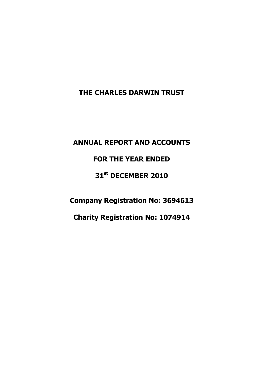THE CHARLES DARWIN TRUST

# ANNUAL REPORT AND ACCOUNTS FOR THE YEAR ENDED 31st DECEMBER 2010

Company Registration No: 3694613

Charity Registration No: 1074914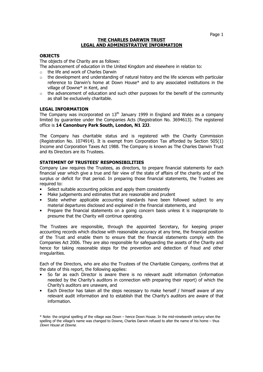### THE CHARLES DARWIN TRUST LEGAL AND ADMINISTRATIVE INFORMATION

# **OBJECTS**

The objects of the Charity are as follows:

The advancement of education in the United Kingdom and elsewhere in relation to:

- o the life and work of Charles Darwin
- $\circ$  the development and understanding of natural history and the life sciences with particular reference to Darwin's home at Down House\* and to any associated institutions in the village of Downe\* in Kent, and
- $\circ$  the advancement of education and such other purposes for the benefit of the community as shall be exclusively charitable.

# LEGAL INFORMATION

The Company was incorporated on  $13<sup>th</sup>$  January 1999 in England and Wales as a company limited by guarantee under the Companies Acts (Registration No. 3694613). The registered office is 14 Canonbury Park South, London, N1 2JJ.

The Company has charitable status and is registered with the Charity Commission (Registration No. 1074914). It is exempt from Corporation Tax afforded by Section 505(1) Income and Corporation Taxes Act 1988. The Company is known as The Charles Darwin Trust and its Directors are its Trustees.

# STATEMENT OF TRUSTEES' RESPONSIBILITIES

Company Law requires the Trustees, as directors, to prepare financial statements for each financial year which give a true and fair view of the state of affairs of the charity and of the surplus or deficit for that period. In preparing those financial statements, the Trustees are required to:

- Select suitable accounting policies and apply them consistently
- Make judgements and estimates that are reasonable and prudent
- State whether applicable accounting standards have been followed subject to any material departures disclosed and explained in the financial statements, and
- Prepare the financial statements on a going concern basis unless it is inappropriate to presume that the Charity will continue operating.

The Trustees are responsible, through the appointed Secretary, for keeping proper accounting records which disclose with reasonable accuracy at any time, the financial position of the Trust and enable them to ensure that the financial statements comply with the Companies Act 2006. They are also responsible for safeguarding the assets of the Charity and hence for taking reasonable steps for the prevention and detection of fraud and other irregularities.

Each of the Directors, who are also the Trustees of the Charitable Company, confirms that at the date of this report, the following applies:

- So far as each Director is aware there is no relevant audit information (information needed by the Charity's auditors in connection with preparing their report) of which the Charity's auditors are unaware, and
- Each Director has taken all the steps necessary to make herself / himself aware of any relevant audit information and to establish that the Charity's auditors are aware of that information.

<sup>\*</sup> Note: the original spelling of the village was Down – hence Down House. In the mid-nineteenth century when the spelling of the village's name was changed to Downe, Charles Darwin refused to alter the name of his home – thus Down House at Downe.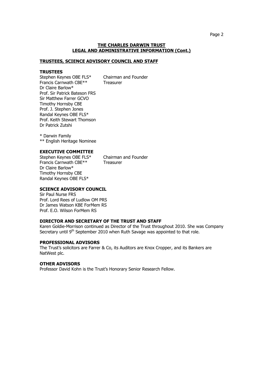# THE CHARLES DARWIN TRUST LEGAL AND ADMINISTRATIVE INFORMATION (Cont.)

# TRUSTEES, SCIENCE ADVISORY COUNCIL AND STAFF

#### **TRUSTEES**

Stephen Keynes OBE FLS\* Chairman and Founder Francis Carnwath CBE\*\* Treasurer Dr Claire Barlow\*

Prof. Sir Patrick Bateson FRS Sir Matthew Farrer GCVO Timothy Hornsby CBE Prof. J. Stephen Jones Randal Keynes OBE FLS\* Prof. Keith Stewart Thomson Dr Patrick Zutshi

\* Darwin Family \*\* English Heritage Nominee

# EXECUTIVE COMMITTEE

Stephen Keynes OBE FLS\* Chairman and Founder Francis Carnwath CBE\*\* Treasurer Dr Claire Barlow\* Timothy Hornsby CBE Randal Keynes OBE FLS\*

# SCIENCE ADVISORY COUNCIL

Sir Paul Nurse FRS Prof. Lord Rees of Ludlow OM PRS Dr James Watson KBE ForMem RS Prof. E.O. Wilson ForMem RS

# DIRECTOR AND SECRETARY OF THE TRUST AND STAFF

Karen Goldie-Morrison continued as Director of the Trust throughout 2010. She was Company Secretary until 9<sup>th</sup> September 2010 when Ruth Savage was appointed to that role.

# PROFESSIONAL ADVISORS

The Trust's solicitors are Farrer & Co, its Auditors are Knox Cropper, and its Bankers are NatWest plc.

# OTHER ADVISORS

Professor David Kohn is the Trust's Honorary Senior Research Fellow.

Page 2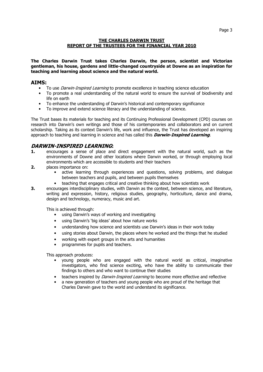# THE CHARLES DARWIN TRUST REPORT OF THE TRUSTEES FOR THE FINANCIAL YEAR 2010

The Charles Darwin Trust takes Charles Darwin, the person, scientist and Victorian gentleman, his house, gardens and little-changed countryside at Downe as an inspiration for teaching and learning about science and the natural world.

# AIMS:

- To use *Darwin-Inspired Learning* to promote excellence in teaching science education
- To promote a real understanding of the natural world to ensure the survival of biodiversity and life on earth
- To enhance the understanding of Darwin's historical and contemporary significance
- To improve and extend science literacy and the understanding of science.

The Trust bases its materials for teaching and its Continuing Professional Development (CPD) courses on research into Darwin's own writings and those of his contemporaries and collaborators and on current scholarship. Taking as its context Darwin's life, work and influence, the Trust has developed an inspiring approach to teaching and learning in science and has called this **Darwin-Inspired Learning**.

# DARWIN-INSPIRED LEARNING:

- 1. encourages a sense of place and direct engagement with the natural world, such as the environments of Downe and other locations where Darwin worked, or through employing local environments which are accessible to students and their teachers
- 2. places importance on:
	- active learning through experiences and questions, solving problems, and dialogue between teachers and pupils, and between pupils themselves
	- teaching that engages critical and creative thinking about how scientists work
- 3. encourages interdisciplinary studies, with Darwin as the context, between science, and literature, writing and expression, history, religious studies, geography, horticulture, dance and drama, design and technology, numeracy, music and art.

This is achieved through:

- using Darwin's ways of working and investigating
- using Darwin's 'big ideas' about how nature works
- understanding how science and scientists use Darwin's ideas in their work today
- using stories about Darwin, the places where he worked and the things that he studied
- working with expert groups in the arts and humanities
- programmes for pupils and teachers.

This approach produces:

- young people who are engaged with the natural world as critical, imaginative investigators, who find science exciting, who have the ability to communicate their findings to others and who want to continue their studies
- teachers inspired by *Darwin-Inspired Learning* to become more effective and reflective
- a new generation of teachers and young people who are proud of the heritage that Charles Darwin gave to the world and understand its significance.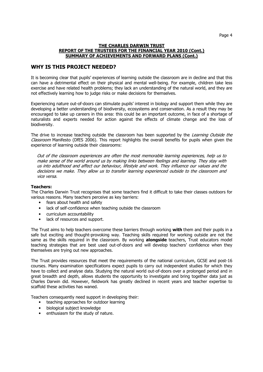# WHY IS THIS PROJECT NEEDED?

It is becoming clear that pupils' experiences of learning outside the classroom are in decline and that this can have a detrimental effect on their physical and mental well-being. For example, children take less exercise and have related health problems; they lack an understanding of the natural world, and they are not effectively learning how to judge risks or make decisions for themselves.

Experiencing nature out-of-doors can stimulate pupils' interest in biology and support them while they are developing a better understanding of biodiversity, ecosystems and conservation. As a result they may be encouraged to take up careers in this area: this could be an important outcome, in face of a shortage of naturalists and experts needed for action against the effects of climate change and the loss of biodiversity.

The drive to increase teaching outside the classroom has been supported by the Learning Outside the Classroom Manifesto (DfES 2006). This report highlights the overall benefits for pupils when given the experience of learning outside their classrooms:

Out of the classroom experiences are often the most memorable learning experiences, help us to make sense of the world around us by making links between feelings and learning. They stay with us into adulthood and affect our behaviour, lifestyle and work. They influence our values and the decisions we make. They allow us to transfer learning experienced outside to the classroom and vice versa.

# Teachers:

The Charles Darwin Trust recognises that some teachers find it difficult to take their classes outdoors for various reasons. Many teachers perceive as key barriers:

- fears about health and safety
- lack of self-confidence when teaching outside the classroom
- curriculum accountability
- lack of resources and support.

The Trust aims to help teachers overcome these barriers through working with them and their pupils in a safe but exciting and thought-provoking way. Teaching skills required for working outside are not the same as the skills required in the classroom. By working **alongside** teachers, Trust educators model teaching strategies that are best used out-of-doors and will develop teachers' confidence when they themselves are trying out new approaches.

The Trust provides resources that meet the requirements of the national curriculum, GCSE and post-16 courses. Many examination specifications expect pupils to carry out independent studies for which they have to collect and analyse data. Studying the natural world out-of-doors over a prolonged period and in great breadth and depth, allows students the opportunity to investigate and bring together data just as Charles Darwin did. However, fieldwork has greatly declined in recent years and teacher expertise to scaffold these activities has waned.

Teachers consequently need support in developing their:

- teaching approaches for outdoor learning
- biological subject knowledge
- enthusiasm for the study of nature.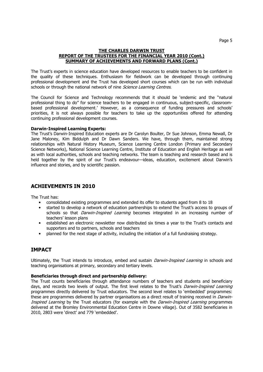The Trust's experts in science education have developed resources to enable teachers to be confident in the quality of these techniques. Enthusiasm for fieldwork can be developed through continuing professional development and the Trust has developed short courses which can be run with individual schools or through the national network of nine Science Learning Centres.

The Council for Science and Technology recommends that it should be 'endemic and the "natural professional thing to do" for science teachers to be engaged in continuous, subject-specific, classroombased professional development.' However, as a consequence of funding pressures and schools' priorities, it is not always possible for teachers to take up the opportunities offered for attending continuing professional development courses.

# Darwin-Inspired Learning Experts:

The Trust's Darwin-Inspired Education experts are Dr Carolyn Boulter, Dr Sue Johnson, Emma Newall, Dr Jane Maloney, Kim Biddulph and Dr Dawn Sanders. We have, through them, maintained strong relationships with Natural History Museum, Science Learning Centre London (Primary and Secondary Science Networks), National Science Learning Centre, Institute of Education and English Heritage as well as with local authorities, schools and teaching networks. The team is teaching and research based and is held together by the spirit of our Trust's endeavour—ideas, education, excitement about Darwin's influence and stories, and by scientific passion.

# ACHIEVEMENTS IN 2010

The Trust has:

- consolidated existing programmes and extended its offer to students aged from 8 to 18
- started to develop a network of education partnerships to extend the Trust's access to groups of schools so that *Darwin-Inspired Learning* becomes integrated in an increasing number of teachers' lesson plans
- established an electronic newsletter now distributed six times a year to the Trust's contacts and supporters and to partners, schools and teachers
- planned for the next stage of activity, including the initiation of a full fundraising strategy.

# IMPACT

Ultimately, the Trust intends to introduce, embed and sustain *Darwin-Inspired Learning* in schools and teaching organisations at primary, secondary and tertiary levels.

### Beneficiaries through direct and partnership delivery:

The Trust counts beneficiaries through attendance numbers of teachers and students and beneficiary days, and records two levels of output. The first level relates to the Trust's *Darwin-Inspired Learning* programmes directly delivered by Trust educators. The second level relates to 'embedded' programmes: these are programmes delivered by partner organisations as a direct result of training received in *Darwin-*Inspired Learning by the Trust educators (for example with the Darwin-Inspired Learning programmes delivered at the Bromley Environmental Education Centre in Downe village). Out of 3582 beneficiaries in 2010, 2803 were 'direct' and 779 'embedded'.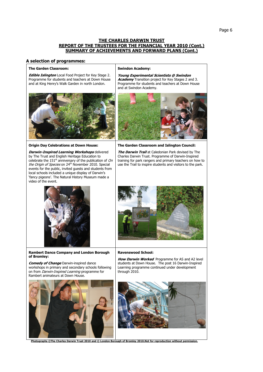#### A selection of programmes:

#### The Garden Classroom:

**Edible Islington** Local Food Project for Key Stage 2. Programme for students and teachers at Down House and at King Henry's Walk Garden in north London.



#### Origin Day Celebrations at Down House:

Darwin-Inspired Learning Workshops delivered by The Trust and English Heritage Education to celebrate the 151st anniversary of the publication of  $On$ the Origin of Species on 24<sup>th</sup> November 2010. Special events for the public, invited guests and students from local schools included a unique display of Darwin's 'fancy pigeons'. The Natural History Museum made a video of the event.

#### Swindon Academy:

### Young Experimental Scientists @ Swindon

Academy Transition project for Key Stages 2 and 3. Programme for students and teachers at Down House and at Swindon Academy.



The Garden Classroom and Islington Council:

The Darwin Trail at Caledonian Park devised by The Charles Darwin Trust. Programme of Darwin-Inspired training for park rangers and primary teachers on how to use the Trail to inspire students and visitors to the park.



Rambert Dance Company and London Borough of Bromley:

**Comedy of Change** Darwin-inspired dance workshops in primary and secondary schools following on from Darwin-Inspired Learning programme for Rambert animateurs at Down House.





Ravenswood School:

Photographs ©The Charles Darwin Trust 2010 and © London Borough of Bromley 2010.Not for reproduction without permission.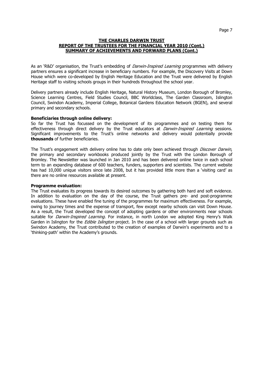As an 'R&D' organisation, the Trust's embedding of *Darwin-Inspired Learning* programmes with delivery partners ensures a significant increase in beneficiary numbers. For example, the Discovery Visits at Down House which were co-developed by English Heritage Education and the Trust were delivered by English Heritage staff to visiting schools groups in their hundreds throughout the school year.

Delivery partners already include English Heritage, Natural History Museum, London Borough of Bromley, Science Learning Centres, Field Studies Council, BBC Worldclass, The Garden Classroom, Islington Council, Swindon Academy, Imperial College, Botanical Gardens Education Network (BGEN), and several primary and secondary schools.

### Beneficiaries through online delivery:

So far the Trust has focussed on the development of its programmes and on testing them for effectiveness through direct delivery by the Trust educators at *Darwin-Inspired Learning* sessions. Significant improvements to the Trust's online networks and delivery would potentially provide thousands of further beneficiaries.

The Trust's engagement with delivery online has to date only been achieved through Discover Darwin, the primary and secondary workbooks produced jointly by the Trust with the London Borough of Bromley. The Newsletter was launched in Jan 2010 and has been delivered online twice in each school term to an expanding database of 600 teachers, funders, supporters and scientists. The current website has had 10,000 unique visitors since late 2008, but it has provided little more than a 'visiting card' as there are no online resources available at present.

#### Programme evaluation:

The Trust evaluates its progress towards its desired outcomes by gathering both hard and soft evidence. In addition to evaluation on the day of the course, the Trust gathers pre- and post-programme evaluations. These have enabled fine tuning of the programmes for maximum effectiveness. For example, owing to journey times and the expense of transport, few except nearby schools can visit Down House. As a result, the Trust developed the concept of adopting gardens or other environments near schools suitable for *Darwin-Inspired Learning*. For instance, in north London we adopted King Henry's Walk Garden in Islington for the *Edible Islington* project. In the case of a school with larger grounds such as Swindon Academy, the Trust contributed to the creation of examples of Darwin's experiments and to a 'thinking-path' within the Academy's grounds.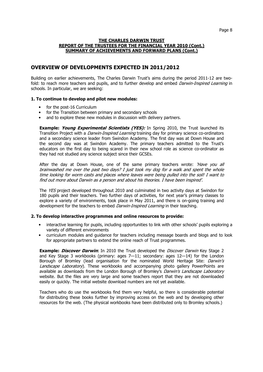# OVERVIEW OF DEVELOPMENTS EXPECTED IN 2011/2012

Building on earlier achievements, The Charles Darwin Trust's aims during the period 2011-12 are twofold: to reach more teachers and pupils, and to further develop and embed *Darwin-Inspired Learning* in schools. In particular, we are seeking:

# 1. To continue to develop and pilot new modules:

- for the post-16 Curriculum
- for the Transition between primary and secondary schools
- and to explore these new modules in discussion with delivery partners.

**Example: Young Experimental Scientists (YES):** In Spring 2010, the Trust launched its Transition Project with a *Darwin-Inspired Learning* training day for primary science co-ordinators and a secondary science leader from Swindon Academy. The first day was at Down House and the second day was at Swindon Academy. The primary teachers admitted to the Trust's educators on the first day to being scared in their new school role as science co-ordinator as they had not studied any science subject since their GCSEs.

After the day at Down House, one of the same primary teachers wrote: 'Have you all brainwashed me over the past two days? I just took my dog for a walk and spent the whole time looking for worm casts and places where leaves were being pulled into the soil! I want to find out more about Darwin as a person and about his theories. I have been inspired'.

The YES project developed throughout 2010 and culminated in two activity days at Swindon for 180 pupils and their teachers. Two further days of activities, for next year's primary classes to explore a variety of environments, took place in May 2011, and there is on-going training and development for the teachers to embed *Darwin-Inspired Learning* in their teaching.

### 2. To develop interactive programmes and online resources to provide:

- interactive learning for pupils, including opportunities to link with other schools' pupils exploring a variety of different environments
- curriculum modules and guidance for teachers including message boards and blogs and to look for appropriate partners to extend the online reach of Trust programmes.

Example: *Discover Darwin*: In 2010 the Trust developed the *Discover Darwin* Key Stage 2 and Key Stage 3 workbooks (primary: ages 7—11; secondary: ages 12—14) for the London Borough of Bromley (lead organisation for the nominated World Heritage Site: *Darwin's* Landscape Laboratory). These workbooks and accompanying photo gallery PowerPoints are available as downloads from the London Borough of Bromley's *Darwin's Landscape Laboratory* website. But the files are very large and some teachers report that they are not downloaded easily or quickly. The initial website download numbers are not yet available.

Teachers who do use the workbooks find them very helpful, so there is considerable potential for distributing these books further by improving access on the web and by developing other resources for the web. (The physical workbooks have been distributed only to Bromley schools.)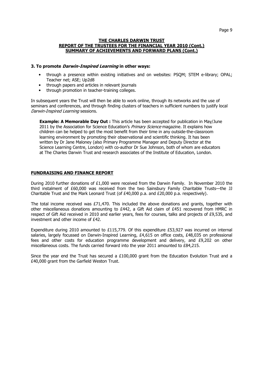# 3. To promote Darwin-Inspired Learning in other ways:

- through a presence within existing initiatives and on websites: PSQM; STEM e-library; OPAL; Teacher net; ASE; Up2d8
- through papers and articles in relevant journals
- through promotion in teacher-training colleges.

In subsequent years the Trust will then be able to work online, through its networks and the use of seminars and conferences, and through finding clusters of teachers in sufficient numbers to justify local Darwin-Inspired Learning sessions.

**Example: A Memorable Day Out :** This article has been accepted for publication in May/June 2011 by the Association for Science Education's Primary Science magazine. It explains how children can be helped to get the most benefit from their time in any outside-the-classroom learning environment by promoting their observational and scientific thinking. It has been written by Dr Jane Maloney (also Primary Programme Manager and Deputy Director at the Science Learning Centre, London) with co-author Dr Sue Johnson, both of whom are educators at The Charles Darwin Trust and research associates of the Institute of Education, London.

# FUNDRAISING AND FINANCE REPORT

During 2010 further donations of £1,000 were received from the Darwin Family. In November 2010 the third instalment of £60,000 was received from the two Sainsbury Family Charitable Trusts—the JJ Charitable Trust and the Mark Leonard Trust (of £40,000 p.a. and £20,000 p.a. respectively).

The total income received was £71,470. This included the above donations and grants, together with other miscellaneous donations amounting to £442, a Gift Aid claim of £451 recovered from HMRC in respect of Gift Aid received in 2010 and earlier years, fees for courses, talks and projects of £9,535, and investment and other income of £42.

Expenditure during 2010 amounted to £115,779. Of this expenditure £53,927 was incurred on internal salaries, largely focussed on Darwin-Inspired Learning, £4,615 on office costs, £48,035 on professional fees and other costs for education programme development and delivery, and £9,202 on other miscellaneous costs. The funds carried forward into the year 2011 amounted to £84,215.

Since the year end the Trust has secured a £100,000 grant from the Education Evolution Trust and a £40,000 grant from the Garfield Weston Trust.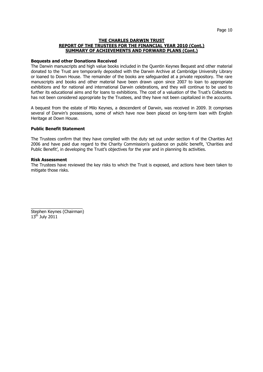#### Bequests and other Donations Received

The Darwin manuscripts and high value books included in the Quentin Keynes Bequest and other material donated to the Trust are temporarily deposited with the Darwin Archive at Cambridge University Library or loaned to Down House. The remainder of the books are safeguarded at a private repository. The rare manuscripts and books and other material have been drawn upon since 2007 to loan to appropriate exhibitions and for national and international Darwin celebrations, and they will continue to be used to further its educational aims and for loans to exhibitions. The cost of a valuation of the Trust's Collections has not been considered appropriate by the Trustees, and they have not been capitalized in the accounts.

A bequest from the estate of Milo Keynes, a descendent of Darwin, was received in 2009. It comprises several of Darwin's possessions, some of which have now been placed on long-term loan with English Heritage at Down House.

# Public Benefit Statement

The Trustees confirm that they have complied with the duty set out under section 4 of the Charities Act 2006 and have paid due regard to the Charity Commission's guidance on public benefit, 'Charities and Public Benefit', in developing the Trust's objectives for the year and in planning its activities.

#### Risk Assessment

The Trustees have reviewed the key risks to which the Trust is exposed, and actions have been taken to mitigate those risks.

\_\_\_\_\_\_\_\_\_\_\_\_\_\_\_\_\_\_\_\_\_\_ Stephen Keynes (Chairman)  $13<sup>th</sup>$  July 2011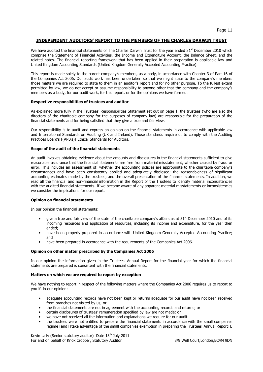#### INDEPENDENT AUDITORS' REPORT TO THE MEMBERS OF THE CHARLES DARWIN TRUST

We have audited the financial statements of The Charles Darwin Trust for the year ended  $31^{st}$  December 2010 which comprise the Statement of Financial Activities, the Income and Expenditure Account, the Balance Sheet, and the related notes. The financial reporting framework that has been applied in their preparation is applicable law and United Kingdom Accounting Standards (United Kingdom Generally Accepted Accounting Practice).

This report is made solely to the parent company's members, as a body, in accordance with Chapter 3 of Part 16 of the Companies Act 2006. Our audit work has been undertaken so that we might state to the company's members those matters we are required to state to them in an auditor's report and for no other purpose. To the fullest extent permitted by law, we do not accept or assume responsibility to anyone other that the company and the company's members as a body, for our audit work, for this report, or for the opinions we have formed.

#### Respective responsibilities of trustees and auditor

As explained more fully in the Trustees' Responsibilities Statement set out on page 1, the trustees (who are also the directors of the charitable company for the purposes of company law) are responsible for the preparation of the financial statements and for being satisfied that they give a true and fair view.

Our responsibility is to audit and express an opinion on the financial statements in accordance with applicable law and International Standards on Auditing (UK and Ireland). Those standards require us to comply with the Auditing Practices Board's [(APB's)] Ethical Standards for Auditors.

#### Scope of the audit of the financial statements

An audit involves obtaining evidence about the amounts and disclosures in the financial statements sufficient to give reasonable assurance that the financial statements are free from material misstatement, whether caused by fraud or error. This includes an assessment of: whether the accounting policies are appropriate to the charitable company's circumstances and have been consistently applied and adequately disclosed; the reasonableness of significant accounting estimates made by the trustees; and the overall presentation of the financial statements. In addition, we read all the financial and non-financial information in the Report of the Trustees to identify material inconsistencies with the audited financial statements. If we become aware of any apparent material misstatements or inconsistencies we consider the implications for our report.

#### Opinion on financial statements

In our opinion the financial statements:

- give a true and fair view of the state of the charitable company's affairs as at  $31<sup>st</sup>$  December 2010 and of its incoming resources and application of resources, including its income and expenditure, for the year then ended;
- have been properly prepared in accordance with United Kingdom Generally Accepted Accounting Practice; and
- have been prepared in accordance with the requirements of the Companies Act 2006.

#### Opinion on other matter prescribed by the Companies Act 2006

In our opinion the information given in the Trustees' Annual Report for the financial year for which the financial statements are prepared is consistent with the financial statements.

#### Matters on which we are required to report by exception

We have nothing to report in respect of the following matters where the Companies Act 2006 requires us to report to you if, in our opinion:

- adequate accounting records have not been kept or returns adequate for our audit have not been received from branches not visited by us; or
- the financial statements are not in agreement with the accounting records and returns; or
- certain disclosures of trustees' remuneration specified by law are not made; or
- we have not received all the information and explanations we require for our audit.
- the trustees were not entitled to prepare the financial statements in accordance with the small companies regime [and] [take advantage of the small companies exemption in preparing the Trustees' Annual Report]].

Kevin Lally (Senior statutory auditor) Date 13<sup>th</sup> July 2011 For and on behalf of Knox Cropper, Statutory Auditor 8/9 Well Court, London, EC4M 9DN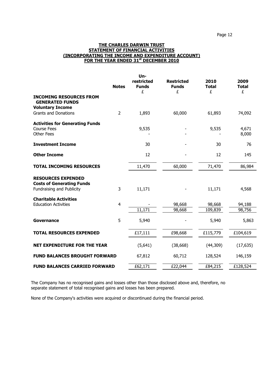# THE CHARLES DARWIN TRUST STATEMENT OF FINANCIAL ACTIVITIES (INCORPORATING THE INCOME AND EXPENDITURE ACCOUNT) FOR THE YEAR ENDED 31st DECEMBER 2010

|                                                                                                                    | <b>Notes</b>   | Un-<br>restricted<br><b>Funds</b><br>£ | <b>Restricted</b><br><b>Funds</b><br>£ | 2010<br><b>Total</b><br>£ | 2009<br><b>Total</b><br>£ |
|--------------------------------------------------------------------------------------------------------------------|----------------|----------------------------------------|----------------------------------------|---------------------------|---------------------------|
| <b>INCOMING RESOURCES FROM</b><br><b>GENERATED FUNDS</b><br><b>Voluntary Income</b><br><b>Grants and Donations</b> | $\overline{2}$ | 1,893                                  | 60,000                                 | 61,893                    | 74,092                    |
|                                                                                                                    |                |                                        |                                        |                           |                           |
| <b>Activities for Generating Funds</b><br><b>Course Fees</b><br><b>Other Fees</b>                                  |                | 9,535                                  |                                        | 9,535                     | 4,671<br>8,000            |
| <b>Investment Income</b>                                                                                           |                | 30                                     |                                        | 30                        | 76                        |
| <b>Other Income</b>                                                                                                |                | 12                                     |                                        | 12                        | 145                       |
| <b>TOTAL INCOMING RESOURCES</b>                                                                                    |                | 11,470                                 | 60,000                                 | 71,470                    | 86,984                    |
| <b>RESOURCES EXPENDED</b><br><b>Costs of Generating Funds</b><br>Fundraising and Publicity                         | 3              | 11,171                                 |                                        | 11,171                    | 4,568                     |
| <b>Charitable Activities</b><br><b>Education Activities</b>                                                        | $\overline{4}$ |                                        | 98,668                                 | 98,668                    | 94,188                    |
|                                                                                                                    |                | 11,171                                 | 98,668                                 | 109,839                   | 98,756                    |
| <b>Governance</b>                                                                                                  | 5              | 5,940                                  |                                        | 5,940                     | 5,863                     |
| <b>TOTAL RESOURCES EXPENDED</b>                                                                                    |                | £17,111                                | £98,668                                | £115,779                  | £104,619                  |
| <b>NET EXPENDITURE FOR THE YEAR</b>                                                                                |                | (5,641)                                | (38, 668)                              | (44, 309)                 | (17, 635)                 |
| <b>FUND BALANCES BROUGHT FORWARD</b>                                                                               |                | 67,812                                 | 60,712                                 | 128,524                   | 146,159                   |
| <b>FUND BALANCES CARRIED FORWARD</b>                                                                               |                | £62,171                                | £22,044                                | £84,215                   | £128,524                  |

The Company has no recognised gains and losses other than those disclosed above and, therefore, no separate statement of total recognised gains and losses has been prepared.

None of the Company's activities were acquired or discontinued during the financial period.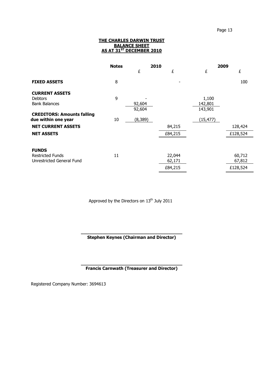Page 13

# THE CHARLES DARWIN TRUST BALANCE SHEET <u>AS AT 31<sup>st</sup> DECEMBER 2010</u>

|                                   | <b>Notes</b> |          | 2010    |           | 2009     |
|-----------------------------------|--------------|----------|---------|-----------|----------|
|                                   |              | £        | £       | £         | £        |
| <b>FIXED ASSETS</b>               | 8            |          |         |           | 100      |
| <b>CURRENT ASSETS</b>             |              |          |         |           |          |
| <b>Debtors</b>                    | 9            |          |         | 1,100     |          |
| <b>Bank Balances</b>              |              | 92,604   |         | 142,801   |          |
|                                   |              | 92,604   |         | 143,901   |          |
| <b>CREDITORS: Amounts falling</b> |              |          |         |           |          |
| due within one year               | 10           | (8, 389) |         | (15, 477) |          |
| <b>NET CURRENT ASSETS</b>         |              |          | 84,215  |           | 128,424  |
| <b>NET ASSETS</b>                 |              |          | £84,215 |           | £128,524 |
|                                   |              |          |         |           |          |
| <b>FUNDS</b>                      |              |          |         |           |          |
| <b>Restricted Funds</b>           | 11           |          | 22,044  |           | 60,712   |
| Unrestricted General Fund         |              |          | 62,171  |           | 67,812   |
|                                   |              |          | £84,215 |           | £128,524 |

Approved by the Directors on 13<sup>th</sup> July 2011

\_\_\_\_\_\_\_\_\_\_\_\_\_\_\_\_\_\_\_\_\_\_\_\_\_\_\_\_\_\_\_\_\_\_\_\_\_ Stephen Keynes (Chairman and Director)

\_\_\_\_\_\_\_\_\_\_\_\_\_\_\_\_\_\_\_\_\_\_\_\_\_\_\_\_\_\_\_\_\_\_\_\_\_ Francis Carnwath (Treasurer and Director)

Registered Company Number: 3694613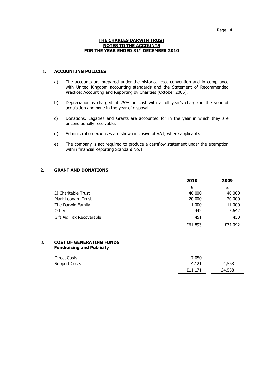## THE CHARLES DARWIN TRUST NOTES TO THE ACCOUNTS FOR THE YEAR ENDED 31<sup>st</sup> DECEMBER 2010

# 1. ACCOUNTING POLICIES

- a) The accounts are prepared under the historical cost convention and in compliance with United Kingdom accounting standards and the Statement of Recommended Practice: Accounting and Reporting by Charities (October 2005).
- b) Depreciation is charged at 25% on cost with a full year's charge in the year of acquisition and none in the year of disposal.
- c) Donations, Legacies and Grants are accounted for in the year in which they are unconditionally receivable.
- d) Administration expenses are shown inclusive of VAT, where applicable.
- e) The company is not required to produce a cashflow statement under the exemption within financial Reporting Standard No.1.

# 2. GRANT AND DONATIONS

|                          | 2010    | 2009    |
|--------------------------|---------|---------|
|                          | £       | £       |
| JJ Charitable Trust      | 40,000  | 40,000  |
| Mark Leonard Trust       | 20,000  | 20,000  |
| The Darwin Family        | 1,000   | 11,000  |
| Other                    | 442     | 2,642   |
| Gift Aid Tax Recoverable | 451     | 450     |
|                          | £61,893 | £74,092 |
|                          |         |         |

## 3. COST OF GENERATING FUNDS Fundraising and Publicity

| Direct Costs         | 7,050   | $\overline{\phantom{0}}$ |
|----------------------|---------|--------------------------|
| <b>Support Costs</b> | 4,121   | 4,568                    |
|                      | £11,171 | £4,568                   |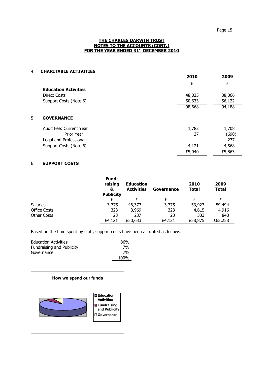# THE CHARLES DARWIN TRUST NOTES TO THE ACCOUNTS (CONT.) FOR THE YEAR ENDED 31<sup>st</sup> DECEMBER 2010

# 4. CHARITABLE ACTIVITIES

|                             | 2010   | 2009   |
|-----------------------------|--------|--------|
|                             | £      | £      |
| <b>Education Activities</b> |        |        |
| <b>Direct Costs</b>         | 48,035 | 38,066 |
| Support Costs (Note 6)      | 50,633 | 56,122 |
|                             | 98,668 | 94,188 |
| 5.<br><b>GOVERNANCE</b>     |        |        |

| Audit Fee: Current Year | 1,782  | 1,708  |
|-------------------------|--------|--------|
| Prior Year              | 37     | (690)  |
| Legal and Professional  | -      | 277    |
| Support Costs (Note 6)  | 4,121  | 4,568  |
|                         | £5,940 | £5,863 |

# 6. SUPPORT COSTS

|                     | Fund-<br>raising<br>&<br><b>Publicity</b> | <b>Education</b><br><b>Activities</b> | Governance | 2010<br><b>Total</b> | 2009<br><b>Total</b> |
|---------------------|-------------------------------------------|---------------------------------------|------------|----------------------|----------------------|
|                     |                                           |                                       |            |                      |                      |
| <b>Salaries</b>     | 3,775                                     | 46,377                                | 3,775      | 53,927               | 59,494               |
| <b>Office Costs</b> | 323                                       | 3,969                                 | 323        | 4,615                | 4,916                |
| <b>Other Costs</b>  | 23                                        | 287                                   | 23         | 333                  | 848                  |
|                     | £4,121                                    | £50,633                               | £4,121     | £58,875              | £65,258              |

Based on the time spent by staff, support costs have been allocated as follows:

| <b>Education Activities</b>      | 86%  |  |
|----------------------------------|------|--|
| <b>Fundraising and Publicity</b> | 7%   |  |
| Governance                       | 7%   |  |
|                                  | 100% |  |

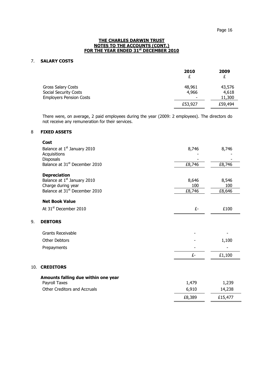# THE CHARLES DARWIN TRUST NOTES TO THE ACCOUNTS (CONT.) FOR THE YEAR ENDED 31st DECEMBER 2010

# 7. SALARY COSTS

|                                                                                      | 2010            | 2009                      |
|--------------------------------------------------------------------------------------|-----------------|---------------------------|
| Gross Salary Costs<br><b>Social Security Costs</b><br><b>Employers Pension Costs</b> | 48,961<br>4,966 | 43,576<br>4,618<br>11,300 |
|                                                                                      | £53,927         | £59,494                   |

There were, on average, 2 paid employees during the year (2009: 2 employees). The directors do not receive any remuneration for their services.

# 8 FIXED ASSETS

9.

 $10.$ 

|     | <b>Cost</b>                                                   |        |         |
|-----|---------------------------------------------------------------|--------|---------|
|     | Balance at 1 <sup>st</sup> January 2010                       | 8,746  | 8,746   |
|     | Acquisitions                                                  |        |         |
|     | <b>Disposals</b><br>Balance at 31 <sup>st</sup> December 2010 | £8,746 | £8,746  |
|     |                                                               |        |         |
|     | <b>Depreciation</b>                                           |        |         |
|     | Balance at 1 <sup>st</sup> January 2010                       | 8,646  | 8,546   |
|     | Charge during year                                            | 100    | 100     |
|     | Balance at 31 <sup>st</sup> December 2010                     | £8,746 | £8,646  |
|     | <b>Net Book Value</b>                                         |        |         |
|     | At 31 <sup>st</sup> December 2010                             | £-     | £100    |
| 9.  | <b>DEBTORS</b>                                                |        |         |
|     | <b>Grants Receivable</b>                                      |        |         |
|     | <b>Other Debtors</b>                                          |        | 1,100   |
|     | Prepayments                                                   |        |         |
|     |                                                               | £-     | £1,100  |
| 10. | <b>CREDITORS</b>                                              |        |         |
|     | Amounts falling due within one year                           |        |         |
|     | Payroll Taxes                                                 | 1,479  | 1,239   |
|     | <b>Other Creditors and Accruals</b>                           | 6,910  | 14,238  |
|     |                                                               | £8,389 | £15,477 |
|     |                                                               |        |         |